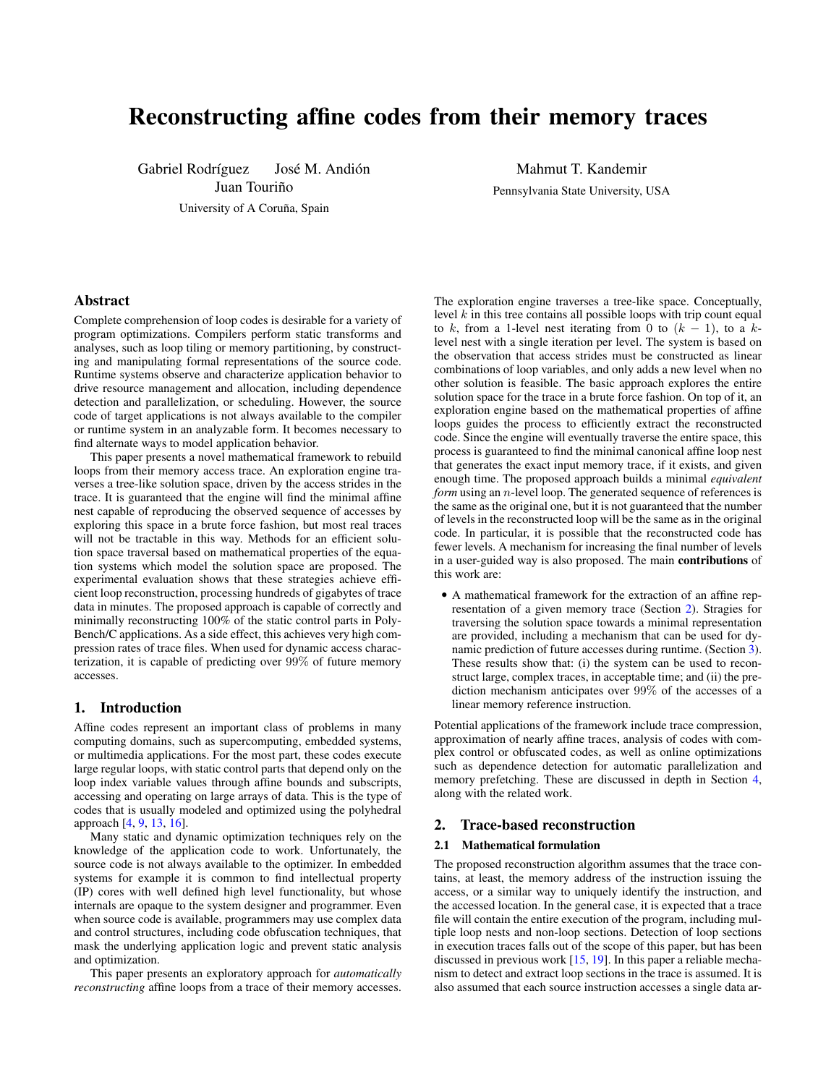# Reconstructing affine codes from their memory traces

Gabriel Rodríguez José M. Andión

Juan Touriño

University of A Coruña, Spain

Mahmut T. Kandemir Pennsylvania State University, USA

# Abstract

Complete comprehension of loop codes is desirable for a variety of program optimizations. Compilers perform static transforms and analyses, such as loop tiling or memory partitioning, by constructing and manipulating formal representations of the source code. Runtime systems observe and characterize application behavior to drive resource management and allocation, including dependence detection and parallelization, or scheduling. However, the source code of target applications is not always available to the compiler or runtime system in an analyzable form. It becomes necessary to find alternate ways to model application behavior.

This paper presents a novel mathematical framework to rebuild loops from their memory access trace. An exploration engine traverses a tree-like solution space, driven by the access strides in the trace. It is guaranteed that the engine will find the minimal affine nest capable of reproducing the observed sequence of accesses by exploring this space in a brute force fashion, but most real traces will not be tractable in this way. Methods for an efficient solution space traversal based on mathematical properties of the equation systems which model the solution space are proposed. The experimental evaluation shows that these strategies achieve efficient loop reconstruction, processing hundreds of gigabytes of trace data in minutes. The proposed approach is capable of correctly and minimally reconstructing 100% of the static control parts in Poly-Bench/C applications. As a side effect, this achieves very high compression rates of trace files. When used for dynamic access characterization, it is capable of predicting over 99% of future memory accesses.

# 1. Introduction

Affine codes represent an important class of problems in many computing domains, such as supercomputing, embedded systems, or multimedia applications. For the most part, these codes execute large regular loops, with static control parts that depend only on the loop index variable values through affine bounds and subscripts, accessing and operating on large arrays of data. This is the type of codes that is usually modeled and optimized using the polyhedral approach [\[4,](#page-7-0) [9,](#page-7-1) [13,](#page-7-2) [16\]](#page-7-3).

Many static and dynamic optimization techniques rely on the knowledge of the application code to work. Unfortunately, the source code is not always available to the optimizer. In embedded systems for example it is common to find intellectual property (IP) cores with well defined high level functionality, but whose internals are opaque to the system designer and programmer. Even when source code is available, programmers may use complex data and control structures, including code obfuscation techniques, that mask the underlying application logic and prevent static analysis and optimization.

This paper presents an exploratory approach for *automatically reconstructing* affine loops from a trace of their memory accesses. The exploration engine traverses a tree-like space. Conceptually, level  $k$  in this tree contains all possible loops with trip count equal to k, from a 1-level nest iterating from 0 to  $(k - 1)$ , to a klevel nest with a single iteration per level. The system is based on the observation that access strides must be constructed as linear combinations of loop variables, and only adds a new level when no other solution is feasible. The basic approach explores the entire solution space for the trace in a brute force fashion. On top of it, an exploration engine based on the mathematical properties of affine loops guides the process to efficiently extract the reconstructed code. Since the engine will eventually traverse the entire space, this process is guaranteed to find the minimal canonical affine loop nest that generates the exact input memory trace, if it exists, and given enough time. The proposed approach builds a minimal *equivalent form* using an *n*-level loop. The generated sequence of references is the same as the original one, but it is not guaranteed that the number of levels in the reconstructed loop will be the same as in the original code. In particular, it is possible that the reconstructed code has fewer levels. A mechanism for increasing the final number of levels in a user-guided way is also proposed. The main contributions of this work are:

• A mathematical framework for the extraction of an affine representation of a given memory trace (Section [2\)](#page-0-0). Stragies for traversing the solution space towards a minimal representation are provided, including a mechanism that can be used for dynamic prediction of future accesses during runtime. (Section [3\)](#page-5-0). These results show that: (i) the system can be used to reconstruct large, complex traces, in acceptable time; and (ii) the prediction mechanism anticipates over 99% of the accesses of a linear memory reference instruction.

Potential applications of the framework include trace compression, approximation of nearly affine traces, analysis of codes with complex control or obfuscated codes, as well as online optimizations such as dependence detection for automatic parallelization and memory prefetching. These are discussed in depth in Section [4,](#page-6-0) along with the related work.

# <span id="page-0-0"></span>2. Trace-based reconstruction

#### 2.1 Mathematical formulation

The proposed reconstruction algorithm assumes that the trace contains, at least, the memory address of the instruction issuing the access, or a similar way to uniquely identify the instruction, and the accessed location. In the general case, it is expected that a trace file will contain the entire execution of the program, including multiple loop nests and non-loop sections. Detection of loop sections in execution traces falls out of the scope of this paper, but has been discussed in previous work [\[15,](#page-7-4) [19\]](#page-7-5). In this paper a reliable mechanism to detect and extract loop sections in the trace is assumed. It is also assumed that each source instruction accesses a single data ar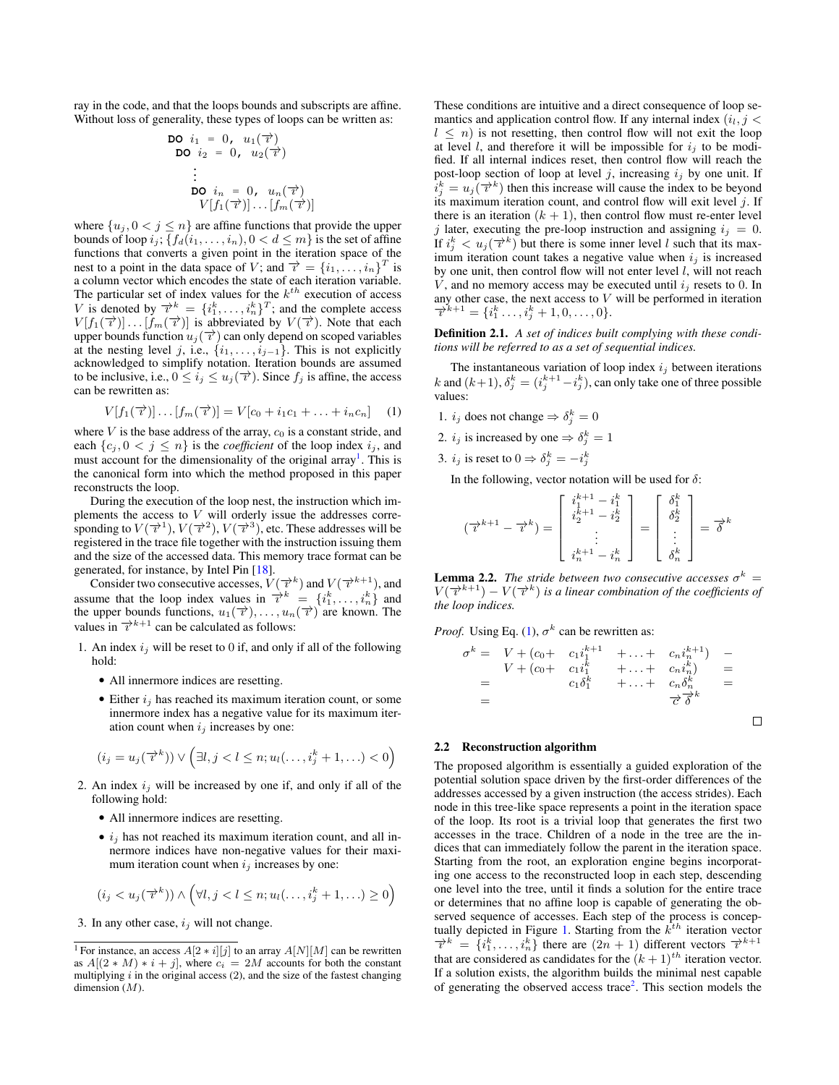ray in the code, and that the loops bounds and subscripts are affine. Without loss of generality, these types of loops can be written as:

$$
\begin{array}{ll}\n\text{DO} & i_1 = 0, \quad u_1(\overrightarrow{\tau}) \\
\text{DO} & i_2 = 0, \quad u_2(\overrightarrow{\tau}) \\
& \vdots \\
\text{DO} & i_n = 0, \quad u_n(\overrightarrow{\tau}) \\
& V[f_1(\overrightarrow{\tau})] \dots [f_m(\overrightarrow{\tau})]\n\end{array}
$$

where  $\{u_j, 0 < j \leq n\}$  are affine functions that provide the upper bounds of loop  $i_j$ ;  $\{f_d(i_1, \ldots, i_n), 0 < d \leq m\}$  is the set of affine functions that converts a given point in the iteration space of the nest to a point in the data space of V; and  $\overrightarrow{v} = \{i_1, \ldots, i_n\}^T$  is a column vector which encodes the state of each iteration variable. The particular set of index values for the  $k^{th}$  execution of access V is denoted by  $\overrightarrow{v}^k = \{i_1^k, \ldots, i_n^k\}^T$ ; and the complete access  $V[f_1(\vec{\tau})] \dots [f_m(\vec{\tau})]$  is abbreviated by  $V(\vec{\tau})$ . Note that each upper bounds function  $u_i(\vec{\tau})$  can only depend on scoped variables at the nesting level j, i.e.,  $\{i_1, \ldots, i_{j-1}\}$ . This is not explicitly acknowledged to simplify notation. Iteration bounds are assumed to be inclusive, i.e.,  $0 \le i_j \le u_j(\vec{\tau})$ . Since  $f_j$  is affine, the access can be rewritten as:

<span id="page-1-1"></span>
$$
V[f_1(\vec{\tau})] \dots [f_m(\vec{\tau})] = V[c_0 + i_1c_1 + \dots + i_nc_n]
$$
 (1)

where  $V$  is the base address of the array,  $c_0$  is a constant stride, and each  $\{c_j, 0 \leq j \leq n\}$  is the *coefficient* of the loop index  $i_j$ , and must account for the dimensionality of the original array<sup>[1](#page-1-0)</sup>. This is the canonical form into which the method proposed in this paper reconstructs the loop.

During the execution of the loop nest, the instruction which implements the access to  $V$  will orderly issue the addresses corresponding to  $V(\overrightarrow{v}^1), V(\overrightarrow{v}^2), V(\overrightarrow{v}^3)$ , etc. These addresses will be registered in the trace file together with the instruction issuing them and the size of the accessed data. This memory trace format can be generated, for instance, by Intel Pin [\[18\]](#page-7-6).

Consider two consecutive accesses,  $V(\vec{v}^k)$  and  $V(\vec{v}^{k+1})$ , and assume that the loop index values in  $\vec{r}^k = \{i_1^k, \ldots, i_n^k\}$  and the upper bounds functions,  $u_1(\vec{\tau}), \ldots, u_n(\vec{\tau})$  are known. The values in  $\overrightarrow{v}^{k+1}$  can be calculated as follows:

- 1. An index  $i_j$  will be reset to 0 if, and only if all of the following hold:
	- All innermore indices are resetting.
	- Either  $i_j$  has reached its maximum iteration count, or some innermore index has a negative value for its maximum iteration count when  $i_j$  increases by one:

$$
(i_j = u_j(\overrightarrow{\lambda}^k)) \vee (\exists l, j < l \leq n; u_l(\ldots, i_j^k + 1, \ldots) < 0)
$$

- 2. An index  $i_j$  will be increased by one if, and only if all of the following hold:
	- All innermore indices are resetting.
	- $i_j$  has not reached its maximum iteration count, and all innermore indices have non-negative values for their maximum iteration count when  $i_j$  increases by one:

$$
(i_j < u_j(\overrightarrow{\tau}^k)) \wedge (\forall l, j < l \leq n; u_l(\ldots, i_j^k + 1, \ldots) \geq 0)
$$

3. In any other case,  $i_j$  will not change.

These conditions are intuitive and a direct consequence of loop semantics and application control flow. If any internal index  $(i_l, j <$  $l \leq n$ ) is not resetting, then control flow will not exit the loop at level l, and therefore it will be impossible for  $i_j$  to be modified. If all internal indices reset, then control flow will reach the post-loop section of loop at level j, increasing  $i_j$  by one unit. If  $i_j^k = u_j(\overrightarrow{v}^k)$  then this increase will cause the index to be beyond its maximum iteration count, and control flow will exit level  $j$ . If there is an iteration  $(k + 1)$ , then control flow must re-enter level j later, executing the pre-loop instruction and assigning  $i_j = 0$ . If  $i_j^k < u_j(\vec{\tau}^k)$  but there is some inner level l such that its maximum iteration count takes a negative value when  $i_j$  is increased by one unit, then control flow will not enter level  $l$ , will not reach  $V$ , and no memory access may be executed until  $i_j$  resets to 0. In any other case, the next access to  $V$  will be performed in iteration  $\overrightarrow{v}^{k+1} = \{i_1^k, \ldots, i_j^k + 1, 0, \ldots, 0\}.$ 

<span id="page-1-2"></span>Definition 2.1. *A set of indices built complying with these conditions will be referred to as a set of sequential indices.*

The instantaneous variation of loop index  $i_j$  between iterations k and  $(k+1)$ ,  $\delta_j^k = (i_j^{k+1} - i_j^k)$ , can only take one of three possible values:

- 1.  $i_j$  does not change  $\Rightarrow \delta_j^k = 0$
- 2.  $i_j$  is increased by one  $\Rightarrow \delta_j^k = 1$
- 3.  $i_j$  is reset to  $0 \Rightarrow \delta_j^k = -i_j^k$

In the following, vector notation will be used for  $\delta$ :

$$
(\overrightarrow{\imath}^{k+1} - \overrightarrow{\imath}^k) = \begin{bmatrix} i_1^{k+1} - i_1^k \\ i_2^{k+1} - i_2^k \\ \vdots \\ i_n^{k+1} - i_n^k \end{bmatrix} = \begin{bmatrix} \delta_1^k \\ \delta_2^k \\ \vdots \\ \delta_n^k \end{bmatrix} = \overrightarrow{\delta}^k
$$

<span id="page-1-3"></span>**Lemma 2.2.** *The stride between two consecutive accesses*  $\sigma^k$  =  $V(\overrightarrow{i}^{k+1}) - V(\overrightarrow{i}^k)$  is a linear combination of the coefficients of *the loop indices.*

*Proof.* Using Eq. [\(1\)](#page-1-1),  $\sigma^k$  can be rewritten as:

$$
\sigma^{k} = V + (c_{0} + c_{1}i_{1}^{k+1} + \ldots + c_{n}i_{n}^{k+1}) - V + (c_{0} + c_{1}i_{1}^{k} + \ldots + c_{n}i_{n}^{k}) =
$$
  
=  $c_{1}\delta_{1}^{k} + \ldots + c_{n}\delta_{n}^{k} =$   
=  $\overrightarrow{\sigma}\overrightarrow{\delta}^{k}$ 

 $\Box$ 

## 2.2 Reconstruction algorithm

The proposed algorithm is essentially a guided exploration of the potential solution space driven by the first-order differences of the addresses accessed by a given instruction (the access strides). Each node in this tree-like space represents a point in the iteration space of the loop. Its root is a trivial loop that generates the first two accesses in the trace. Children of a node in the tree are the indices that can immediately follow the parent in the iteration space. Starting from the root, an exploration engine begins incorporating one access to the reconstructed loop in each step, descending one level into the tree, until it finds a solution for the entire trace or determines that no affine loop is capable of generating the observed sequence of accesses. Each step of the process is concep-tually depicted in Figure [1.](#page-2-0) Starting from the  $k^{\text{th}}$  iteration vector  $\overrightarrow{v}^k = \{i_1^k, \ldots, i_n^k\}$  there are  $(2n + 1)$  different vectors  $\overrightarrow{v}^{k+1}$ that are considered as candidates for the  $(k+1)^{th}$  iteration vector. If a solution exists, the algorithm builds the minimal nest capable of generating the observed access trace<sup>[2](#page-2-1)</sup>. This section models the

<span id="page-1-0"></span><sup>&</sup>lt;sup>1</sup> For instance, an access  $A[2 * i][j]$  to an array  $A[N][M]$  can be rewritten as  $A[(2 * M) * i + j]$ , where  $c_i = 2M$  accounts for both the constant multiplying  $i$  in the original access  $(2)$ , and the size of the fastest changing dimension  $(M)$ .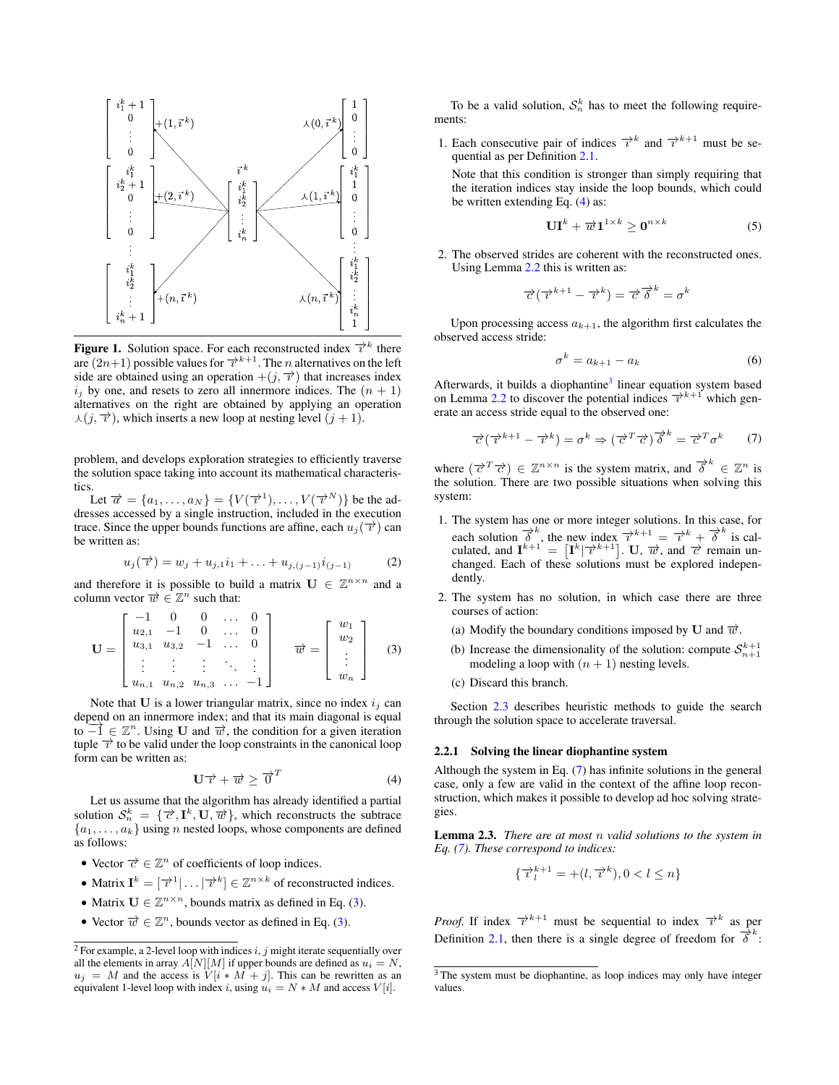

<span id="page-2-0"></span>**Figure 1.** Solution space. For each reconstructed index  $\overrightarrow{r}^k$  there are  $(2n+1)$  possible values for  $\overrightarrow{v}^{k+1}$ . The *n* alternatives on the left side are obtained using an operation  $+(j, \vec{\tau})$  that increases index  $i_j$  by one, and resets to zero all innermore indices. The  $(n + 1)$ alternatives on the right are obtained by applying an operation  $\lambda(j, \overrightarrow{r})$ , which inserts a new loop at nesting level  $(j + 1)$ .

problem, and develops exploration strategies to efficiently traverse the solution space taking into account its mathematical characteristics.

Let  $\overrightarrow{\alpha} = \{a_1, \ldots, a_N\} = \{V(\overrightarrow{v}^1), \ldots, V(\overrightarrow{v}^N)\}\$  be the addresses accessed by a single instruction, included in the execution trace. Since the upper bounds functions are affine, each  $u_i(\vec{\tau})$  can be written as:

<span id="page-2-7"></span>
$$
u_j(\vec{\tau}) = w_j + u_{j,1}i_1 + \ldots + u_{j,(j-1)}i_{(j-1)}
$$
 (2)

and therefore it is possible to build a matrix  $\mathbf{U} \in \mathbb{Z}^{n \times n}$  and a column vector  $\overrightarrow{w} \in \mathbb{Z}^n$  such that:

<span id="page-2-2"></span>
$$
\mathbf{U} = \begin{bmatrix} -1 & 0 & 0 & \dots & 0 \\ u_{2,1} & -1 & 0 & \dots & 0 \\ u_{3,1} & u_{3,2} & -1 & \dots & 0 \\ \vdots & \vdots & \vdots & \ddots & \vdots \\ u_{n,1} & u_{n,2} & u_{n,3} & \dots & -1 \end{bmatrix} \quad \overrightarrow{w} = \begin{bmatrix} w_1 \\ w_2 \\ \vdots \\ w_n \end{bmatrix} \quad (3)
$$

Note that  **is a lower triangular matrix, since no index**  $i_j$  **can** depend on an innermore index; and that its main diagonal is equal to  $\overrightarrow{-1} \in \mathbb{Z}^n$ . Using U and  $\overrightarrow{w}$ , the condition for a given iteration tuple  $\overrightarrow{v}$  to be valid under the loop constraints in the canonical loop form can be written as:

<span id="page-2-3"></span>
$$
\mathbf{U}\overrightarrow{v}+\overrightarrow{w}\geq \overrightarrow{0}^{T}
$$
 (4)

Let us assume that the algorithm has already identified a partial solution  $S_n^k = {\overrightarrow{c}, \mathbf{I}^k, \mathbf{U}, \overrightarrow{w}}$ , which reconstructs the subtrace  ${a_1, \ldots, a_k}$  using *n* nested loops, whose components are defined as follows:

- Vector  $\vec{c} \in \mathbb{Z}^n$  of coefficients of loop indices.
- Matrix  $\mathbf{I}^k = [\overrightarrow{v}^1 | \dots | \overrightarrow{v}^k] \in \mathbb{Z}^{n \times k}$  of reconstructed indices.
- Matrix  $U \in \mathbb{Z}^{n \times n}$ , bounds matrix as defined in Eq. [\(3\)](#page-2-2).
- Vector  $\vec{w} \in \mathbb{Z}^n$ , bounds vector as defined in Eq. [\(3\)](#page-2-2).

To be a valid solution,  $S_n^k$  has to meet the following requirements:

1. Each consecutive pair of indices  $\overrightarrow{\tau}^k$  and  $\overrightarrow{\tau}^{k+1}$  must be sequential as per Definition [2.1.](#page-1-2)

Note that this condition is stronger than simply requiring that the iteration indices stay inside the loop bounds, which could be written extending Eq. [\(4\)](#page-2-3) as:

<span id="page-2-9"></span>
$$
\mathbf{UI}^{k} + \overrightarrow{w} \mathbf{1}^{1 \times k} \geq \mathbf{0}^{n \times k}
$$
 (5)

2. The observed strides are coherent with the reconstructed ones. Using Lemma [2.2](#page-1-3) this is written as:

$$
\overrightarrow{c}(\overrightarrow{v}^{k+1} - \overrightarrow{v}^k) = \overrightarrow{c}^k \overrightarrow{\delta}^k = \sigma^k
$$

Upon processing access  $a_{k+1}$ , the algorithm first calculates the observed access stride:

<span id="page-2-6"></span>
$$
\sigma^k = a_{k+1} - a_k \tag{6}
$$

Afterwards, it builds a diophantine<sup>[3](#page-2-4)</sup> linear equation system based on Lemma [2.2](#page-1-3) to discover the potential indices  $\overrightarrow{v}^{k+1}$  which generate an access stride equal to the observed one:

<span id="page-2-5"></span>
$$
\vec{c}(\vec{v}^{k+1} - \vec{v}^k) = \sigma^k \Rightarrow (\vec{c}^T \vec{c}) \vec{\delta}^k = \vec{c}^T \sigma^k \qquad (7)
$$

where  $(\vec{c}^T \vec{c}) \in \mathbb{Z}^{n \times n}$  is the system matrix, and  $\vec{\delta}^k \in \mathbb{Z}^n$  is the solution. There are two possible situations when solving this system:

- 1. The system has one or more integer solutions. In this case, for each solution  $\vec{\delta}^k$ , the new index  $\vec{\delta}^{k+1} = \vec{\delta}^k + \vec{\delta}^k$  is calculated, and  $\mathbf{I}^{k+1} = [\mathbf{I}^k | \overrightarrow{\tau}^{k+1}]$ . U,  $\overrightarrow{w}$ , and  $\overrightarrow{c}$  remain unchanged. Each of these solutions must be explored independently.
- 2. The system has no solution, in which case there are three courses of action:
	- (a) Modify the boundary conditions imposed by U and  $\vec{w}$ .
	- (b) Increase the dimensionality of the solution: compute  $S_{n+1}^{k+1}$ modeling a loop with  $(n + 1)$  nesting levels.
	- (c) Discard this branch.

Section [2.3](#page-3-0) describes heuristic methods to guide the search through the solution space to accelerate traversal.

#### <span id="page-2-8"></span>2.2.1 Solving the linear diophantine system

Although the system in Eq. [\(7\)](#page-2-5) has infinite solutions in the general case, only a few are valid in the context of the affine loop reconstruction, which makes it possible to develop ad hoc solving strategies.

Lemma 2.3. *There are at most* n *valid solutions to the system in Eq. [\(7\)](#page-2-5). These correspond to indices:*

$$
\{\overrightarrow{v}_l^{k+1} = +(l, \overrightarrow{v}^k), 0 < l \le n\}
$$

*Proof.* If index  $\overrightarrow{x}^{k+1}$  must be sequential to index  $\overrightarrow{x}^k$  as per Definition [2.1,](#page-1-2) then there is a single degree of freedom for  $\overline{\delta}^k$ :

<span id="page-2-1"></span><sup>&</sup>lt;sup>2</sup> For example, a 2-level loop with indices i, j might iterate sequentially over all the elements in array  $A[N][M]$  if upper bounds are defined as  $u_i = N$ ,  $u_j = M$  and the access is  $V[i * M + j]$ . This can be rewritten as an equivalent 1-level loop with index i, using  $u_i = N * M$  and access  $V[i]$ .

<span id="page-2-4"></span><sup>&</sup>lt;sup>3</sup> The system must be diophantine, as loop indices may only have integer values.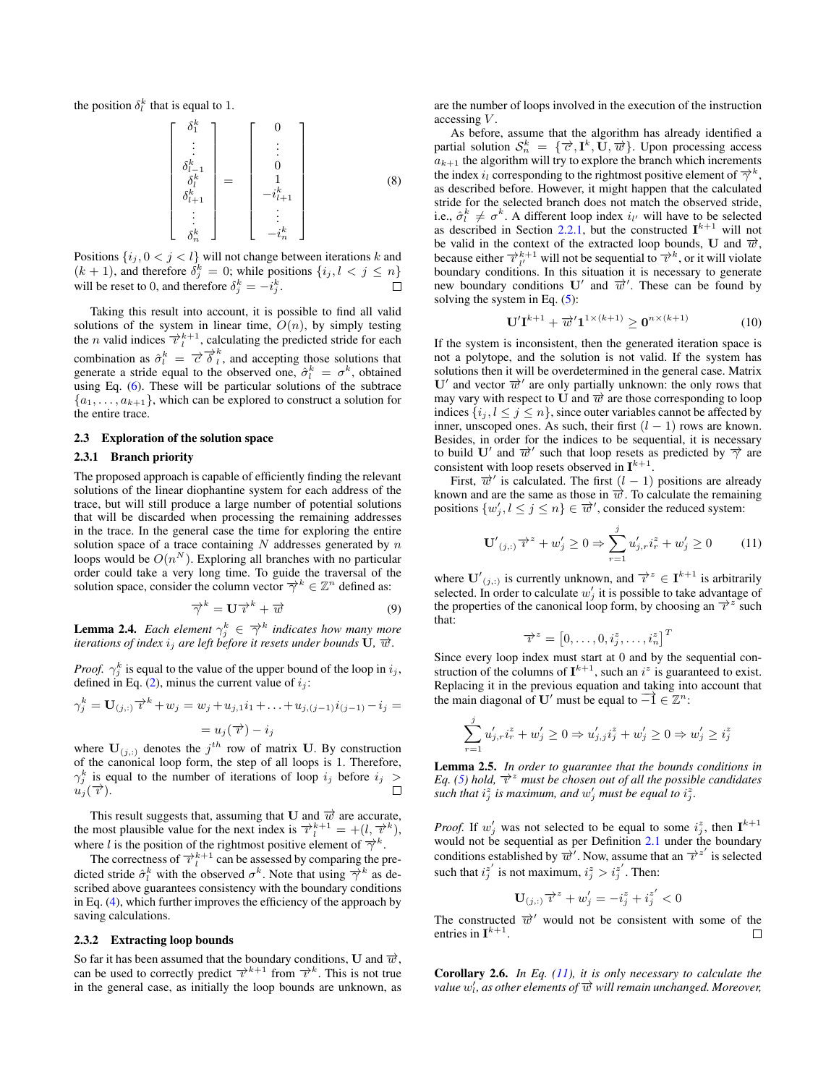the position  $\delta_l^k$  that is equal to 1.

$$
\begin{bmatrix}\n\delta_1^k \\
\vdots \\
\delta_{l-1}^k \\
\delta_{l+1}^k \\
\vdots \\
\delta_n^k\n\end{bmatrix} = \begin{bmatrix}\n0 \\
\vdots \\
0 \\
1 \\
-i_{l+1}^k \\
\vdots \\
-i_n^k\n\end{bmatrix}
$$
\n(8)

Positions  $\{i_j, 0 < j < l\}$  will not change between iterations k and  $(k + 1)$ , and therefore  $\delta_j^k = 0$ ; while positions  $\{i_j, l < j \leq n\}$ will be reset to 0, and therefore  $\delta_j^k = -i_j^k$ .  $\Box$ 

Taking this result into account, it is possible to find all valid solutions of the system in linear time,  $\overline{O}(n)$ , by simply testing the *n* valid indices  $\overrightarrow{v}_l^{k+1}$ , calculating the predicted stride for each combination as  $\hat{\sigma}_l^k = \vec{\sigma} \vec{\delta}_l^k$ , and accepting those solutions that generate a stride equal to the observed one,  $\hat{\sigma}_l^k = \sigma^k$ , obtained using Eq. [\(6\)](#page-2-6). These will be particular solutions of the subtrace  ${a_1, \ldots, a_{k+1}}$ , which can be explored to construct a solution for the entire trace.

#### <span id="page-3-0"></span>2.3 Exploration of the solution space

# <span id="page-3-4"></span>2.3.1 Branch priority

The proposed approach is capable of efficiently finding the relevant solutions of the linear diophantine system for each address of the trace, but will still produce a large number of potential solutions that will be discarded when processing the remaining addresses in the trace. In the general case the time for exploring the entire solution space of a trace containing  $N$  addresses generated by  $n$ loops would be  $O(n^N)$ . Exploring all branches with no particular order could take a very long time. To guide the traversal of the solution space, consider the column vector  $\overrightarrow{\gamma}^k \in \mathbb{Z}^n$  defined as:

$$
\overrightarrow{\gamma}^k = \mathbf{U} \overrightarrow{v}^k + \overrightarrow{w} \tag{9}
$$

**Lemma 2.4.** *Each element*  $\gamma_j^k \in \overrightarrow{\gamma}^k$  *indicates how many more iterations of index*  $i_j$  *are left before it resets under bounds* **U**,  $\overrightarrow{w}$ .

*Proof.*  $\gamma_j^k$  is equal to the value of the upper bound of the loop in  $i_j$ , defined in Eq. [\(2\)](#page-2-7), minus the current value of  $i_j$ :

$$
\gamma_j^k = \mathbf{U}_{(j,:)} \overrightarrow{\imath}^k + w_j = w_j + u_{j,1}i_1 + \ldots + u_{j,(j-1)}i_{(j-1)} - i_j =
$$
  
=  $u_j(\overrightarrow{\imath}) - i_j$ 

where  $U_{(j,:)}$  denotes the  $j<sup>th</sup>$  row of matrix U. By construction of the canonical loop form, the step of all loops is 1. Therefore,  $\gamma_j^k$  is equal to the number of iterations of loop  $i_j$  before  $i_j >$  $u_j(\overrightarrow{\tau}).$ 

This result suggests that, assuming that U and  $\vec{w}$  are accurate, the most plausible value for the next index is  $\overrightarrow{v}_l^{k+1} = +(l, \overrightarrow{v}_l^k)$ , where l is the position of the rightmost positive element of  $\overrightarrow{\gamma}^k$ .

The correctness of  $\overrightarrow{v}_l^{k+1}$  can be assessed by comparing the predicted stride  $\hat{\sigma}_l^k$  with the observed  $\sigma^k$ . Note that using  $\overrightarrow{\gamma}^k$  as described above guarantees consistency with the boundary conditions in Eq. [\(4\)](#page-2-3), which further improves the efficiency of the approach by saving calculations.

#### <span id="page-3-5"></span>2.3.2 Extracting loop bounds

So far it has been assumed that the boundary conditions, U and  $\overrightarrow{w}$ , can be used to correctly predict  $\vec{\tau}^{k+1}$  from  $\vec{\tau}^k$ . This is not true in the general case, as initially the loop bounds are unknown, as are the number of loops involved in the execution of the instruction accessing V.

As before, assume that the algorithm has already identified a partial solution  $S_n^k = \{\vec{c}, \vec{\mathbf{I}}^k, \vec{\mathbf{U}}, \vec{\boldsymbol{w}}\}$ . Upon processing access  $a_{k+1}$  the algorithm will try to explore the branch which increments the index  $i_l$  corresponding to the rightmost positive element of  $\overrightarrow{\gamma}^k$ , as described before. However, it might happen that the calculated stride for the selected branch does not match the observed stride, i.e.,  $\hat{\sigma}_l^k \neq \sigma^k$ . A different loop index  $i_{l'}$  will have to be selected as described in Section [2.2.1,](#page-2-8) but the constructed  $I^{k+1}$  will not be valid in the context of the extracted loop bounds, U and  $\vec{w}$ , because either  $\overrightarrow{v}_{l'}^{k+1}$  will not be sequential to  $\overrightarrow{v}^k$ , or it will violate boundary conditions. In this situation it is necessary to generate new boundary conditions  $U'$  and  $\overrightarrow{w}'$ . These can be found by solving the system in Eq. [\(5\)](#page-2-9):

<span id="page-3-3"></span>
$$
\mathbf{U}'\mathbf{I}^{k+1} + \overrightarrow{w}'\mathbf{1}^{1 \times (k+1)} \ge \mathbf{0}^{n \times (k+1)}
$$
 (10)

If the system is inconsistent, then the generated iteration space is not a polytope, and the solution is not valid. If the system has solutions then it will be overdetermined in the general case. Matrix U' and vector  $\overrightarrow{w}$ ' are only partially unknown: the only rows that may vary with respect to U and  $\vec{w}$  are those corresponding to loop indices  $\{i_j, l \leq j \leq n\}$ , since outer variables cannot be affected by inner, unscoped ones. As such, their first  $(l - 1)$  rows are known. Besides, in order for the indices to be sequential, it is necessary to build U' and  $\overrightarrow{w}$ ' such that loop resets as predicted by  $\overrightarrow{\gamma}$  are consistent with loop resets observed in  $I^{k+1}$ .

First,  $\vec{w}'$  is calculated. The first  $(l - 1)$  positions are already known and are the same as those in  $\vec{w}$ . To calculate the remaining positions  $\{w'_j, l \leq j \leq n\} \in \overline{w}'$ , consider the reduced system:

<span id="page-3-1"></span>
$$
\mathbf{U}'_{(j,:)}\overrightarrow{v}^{z} + w'_{j} \ge 0 \Rightarrow \sum_{r=1}^{j} u'_{j,r}i^{z}_{r} + w'_{j} \ge 0 \tag{11}
$$

where  $\mathbf{U}'_{(j,:)}$  is currently unknown, and  $\overrightarrow{v}^z \in \mathbf{I}^{k+1}$  is arbitrarily selected. In order to calculate  $w'_j$  it is possible to take advantage of the properties of the canonical loop form, by choosing an  $\vec{\tau}^z$  such that:

$$
\overrightarrow{v}^z = \begin{bmatrix} 0, \ldots, 0, i_j^z, \ldots, i_n^z \end{bmatrix}^T
$$

Since every loop index must start at 0 and by the sequential construction of the columns of  $I^{k+1}$ , such an  $i^z$  is guaranteed to exist. Replacing it in the previous equation and taking into account that the main diagonal of U' must be equal to  $\overrightarrow{-1} \in \mathbb{Z}^n$ :

$$
\sum_{r=1}^j u'_{j,r} i_r^z + w'_j \geq 0 \Rightarrow u'_{j,j} i_j^z + w'_j \geq 0 \Rightarrow w'_j \geq i_j^z
$$

<span id="page-3-2"></span>Lemma 2.5. *In order to guarantee that the bounds conditions in Eq. [\(5\)](#page-2-9) hold,* −→ı <sup>z</sup> *must be chosen out of all the possible candidates* such that  $i_j^z$  is maximum, and  $w'_j$  must be equal to  $i_j^z$ .

*Proof.* If  $w'_j$  was not selected to be equal to some  $i_j^z$ , then  $I^{k+1}$ would not be sequential as per Definition [2.1](#page-1-2) under the boundary conditions established by  $\overrightarrow{w}$ . Now, assume that an  $\overrightarrow{v}^{z'}$  is selected such that  $i_j^{z'}$  is not maximum,  $i_j^z > i_j^{z'}$ . Then:

$$
\mathbf{U}_{(j,:)}\overrightarrow{v}^z + w'_j = -i_j^z + i_j^{z'} < 0
$$

The constructed  $\overline{w}'$  would not be consistent with some of the entries in  $I^{k+1}$ . П

Corollary 2.6. *In Eq. [\(11\)](#page-3-1), it is only necessary to calculate the value* w<sub>i</sub>, as other elements of  $\vec{w}$  will remain unchanged. Moreover,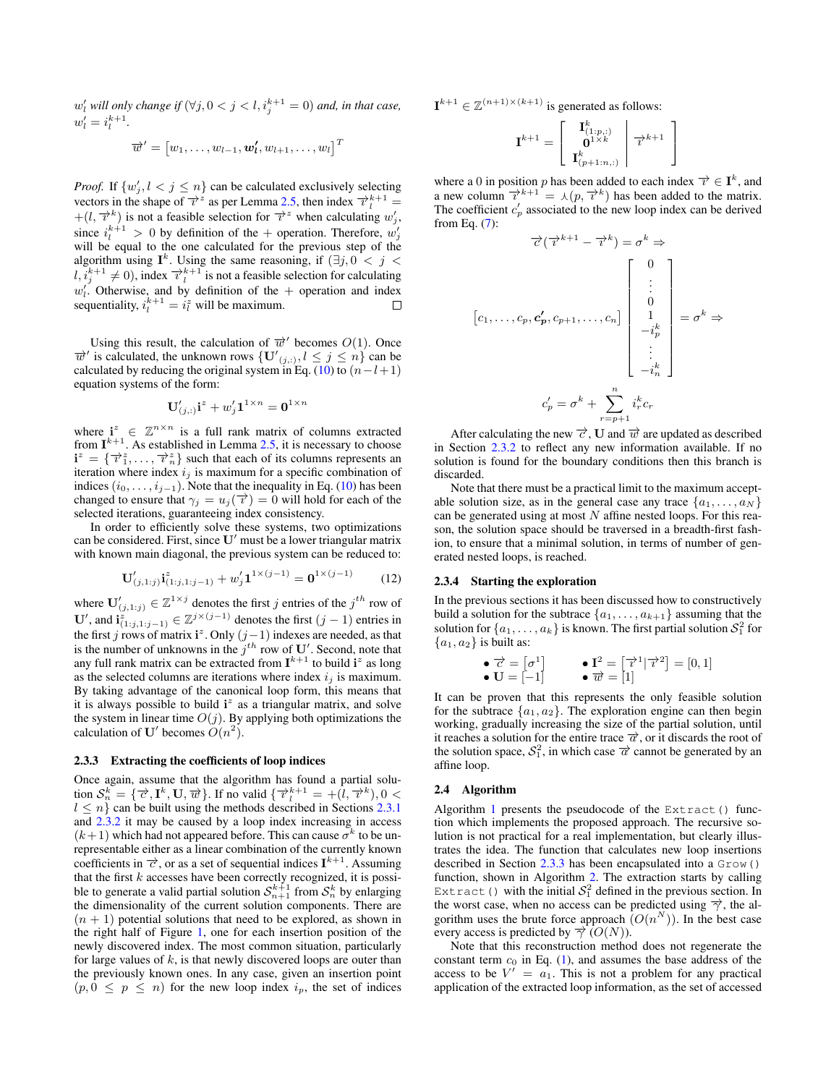$w'_{l}$  will only change if  $(\forall j, 0 < j < l, i^{k+1}_j = 0)$  and, in that case,  $w'_{l} = i_{l}^{k+1}$ .

$$
\overrightarrow{w}'=\begin{bmatrix}w_1,\ldots,w_{l-1},\bm{w'_{l}},w_{l+1},\ldots,w_{l}\end{bmatrix}^T
$$

*Proof.* If  $\{w'_j, l < j \leq n\}$  can be calculated exclusively selecting vectors in the shape of  $\overrightarrow{v}^z$  as per Lemma [2.5,](#page-3-2) then index  $\overrightarrow{v}_l^{k+1}$  =  $+(l, \vec{\tau}^k)$  is not a feasible selection for  $\vec{\tau}^z$  when calculating  $w'_j$ , since  $i_l^{k+1} > 0$  by definition of the + operation. Therefore,  $w_j'$ will be equal to the one calculated for the previous step of the algorithm using  $I^k$ . Using the same reasoning, if  $(\exists j, 0 \lt j \lt k)$  $l, i_j^{k+1} \neq 0$ ), index  $\overrightarrow{v}_l^{k+1}$  is not a feasible selection for calculating  $w'$ . Otherwise, and by definition of the + operation and index sequentiality,  $i_l^{k+1} = i_l^z$  will be maximum.

Using this result, the calculation of  $\vec{w}'$  becomes  $O(1)$ . Once  $\overrightarrow{w}$  is calculated, the unknown rows  $\{ \mathbf{U'}_{(j,:)}, l \leq j \leq n \}$  can be calculated by reducing the original system in Eq. [\(10\)](#page-3-3) to  $(n-l+1)$ equation systems of the form:

$$
\mathbf{U}'_{(j,:)}\mathbf{i}^z + w'_j \mathbf{1}^{1 \times n} = \mathbf{0}^{1 \times n}
$$

where  $\mathbf{i}^z \in \mathbb{Z}^{n \times n}$  is a full rank matrix of columns extracted from  $I^{k+1}$ . As established in Lemma [2.5,](#page-3-2) it is necessary to choose  $\mathbf{i}^z = \{\vec{\tau}_1^z, \ldots, \vec{\tau}_n^z\}$  such that each of its columns represents an iteration where index  $i_j$  is maximum for a specific combination of indices  $(i_0, \ldots, i_{j-1})$ . Note that the inequality in Eq. [\(10\)](#page-3-3) has been changed to ensure that  $\gamma_j = u_j(\vec{\tau}) = 0$  will hold for each of the selected iterations, guaranteeing index consistency.

In order to efficiently solve these systems, two optimizations can be considered. First, since  $U'$  must be a lower triangular matrix with known main diagonal, the previous system can be reduced to:

$$
\mathbf{U}'_{(j,1:j)}\mathbf{i}^{z}_{(1:j,1:j-1)} + w'_{j}\mathbf{1}^{1\times(j-1)} = \mathbf{0}^{1\times(j-1)}
$$
(12)

where  $\mathbf{U}'_{(j,1:j)} \in \mathbb{Z}^{1 \times j}$  denotes the first j entries of the  $j^{th}$  row of U', and  $\mathbf{i}_{(1:j,1:j-1)}^z \in \mathbb{Z}^{j \times (j-1)}$  denotes the first  $(j-1)$  entries in the first j rows of matrix i<sup>2</sup>. Only  $(j-1)$  indexes are needed, as that is the number of unknowns in the  $j<sup>th</sup>$  row of U'. Second, note that any full rank matrix can be extracted from  $I^{k+1}$  to build  $i^z$  as long as the selected columns are iterations where index  $i_j$  is maximum. By taking advantage of the canonical loop form, this means that it is always possible to build  $i^z$  as a triangular matrix, and solve the system in linear time  $O(j)$ . By applying both optimizations the calculation of U' becomes  $O(n^2)$ .

#### <span id="page-4-0"></span>2.3.3 Extracting the coefficients of loop indices

Once again, assume that the algorithm has found a partial solution  $S_n^k = \{ \vec{\tau}, \mathbf{I}^k, \mathbf{U}, \vec{\omega} \}$ . If no valid  $\{ \vec{\tau}_l^{k+1} = +(\hat{l}, \vec{\tau}^k), 0 < \vec{\omega} \}$  $l \leq n$  can be built using the methods described in Sections [2.3.1](#page-3-4) and [2.3.2](#page-3-5) it may be caused by a loop index increasing in access  $(k+1)$  which had not appeared before. This can cause  $\sigma^k$  to be unrepresentable either as a linear combination of the currently known coefficients in  $\vec{\epsilon}$ , or as a set of sequential indices  $\mathbf{I}^{k+1}$ . Assuming that the first  $k$  accesses have been correctly recognized, it is possible to generate a valid partial solution  $\mathcal{S}_{n+1}^{k+1}$  from  $\mathcal{S}_n^k$  by enlarging the dimensionality of the current solution components. There are  $(n + 1)$  potential solutions that need to be explored, as shown in the right half of Figure [1,](#page-2-0) one for each insertion position of the newly discovered index. The most common situation, particularly for large values of  $k$ , is that newly discovered loops are outer than the previously known ones. In any case, given an insertion point  $(p, 0 \le p \le n)$  for the new loop index  $i_p$ , the set of indices

 $\mathbf{I}^{k+1} \in \mathbb{Z}^{(n+1)\times (k+1)}$  is generated as follows:

$$
\mathbf{I}^{k+1} = \left[\begin{array}{c} \mathbf{I}^k_{(1:p,:)} \\ \mathbf{0}^{1 \times k} \\ \mathbf{I}^k_{(p+1:n,:)} \end{array} \middle| \begin{array}{c} \overrightarrow{v}^{k+1} \\ \overrightarrow{v}^{k+1} \end{array} \right]
$$

where a 0 in position p has been added to each index  $\vec{\tau} \in \mathbf{I}^k$ , and a new column  $\vec{\tau}^{k+1} = \lambda (p, \vec{\tau}^k)$  has been added to the matrix. The coefficient  $c_p'$  associated to the new loop index can be derived from Eq. [\(7\)](#page-2-5):

$$
\overrightarrow{c}(\overrightarrow{t}^{k+1} - \overrightarrow{t}^k) = \sigma^k \Rightarrow
$$
\n
$$
c_1, \dots, c_p, c'_p, c_{p+1}, \dots, c_n] \begin{bmatrix} 0 \\ \vdots \\ 0 \\ -i_p^k \\ \vdots \\ -i_n^k \end{bmatrix} = \sigma^k \Rightarrow
$$
\n
$$
c'_p = \sigma^k + \sum_{r=p+1}^n i_r^k c_r
$$

After calculating the new  $\vec{\tau}$ , U and  $\vec{w}$  are updated as described in Section [2.3.2](#page-3-5) to reflect any new information available. If no solution is found for the boundary conditions then this branch is discarded.

Note that there must be a practical limit to the maximum acceptable solution size, as in the general case any trace  $\{a_1, \ldots, a_N\}$ can be generated using at most  $N$  affine nested loops. For this reason, the solution space should be traversed in a breadth-first fashion, to ensure that a minimal solution, in terms of number of generated nested loops, is reached.

#### 2.3.4 Starting the exploration

-

In the previous sections it has been discussed how to constructively build a solution for the subtrace  $\{a_1, \ldots, a_{k+1}\}\$  assuming that the solution for  $\{a_1, \ldots, a_k\}$  is known. The first partial solution  $\mathcal{S}^2_1$  for  ${a_1, a_2}$  is built as:

• 
$$
\vec{\mathbf{c}} = [\sigma^1]
$$
    •  $\mathbf{I}^2 = [\vec{\tau}^1 | \vec{\tau}^2] = [0, 1]$     •  $\vec{\mathbf{w}} = [1]$ 

It can be proven that this represents the only feasible solution for the subtrace  $\{a_1, a_2\}$ . The exploration engine can then begin working, gradually increasing the size of the partial solution, until it reaches a solution for the entire trace  $\vec{\alpha}$ , or it discards the root of the solution space,  $S_1^2$ , in which case  $\vec{\sigma}$  cannot be generated by an affine loop.

#### 2.4 Algorithm

Algorithm [1](#page-5-1) presents the pseudocode of the Extract() function which implements the proposed approach. The recursive solution is not practical for a real implementation, but clearly illustrates the idea. The function that calculates new loop insertions described in Section  $2.3.3$  has been encapsulated into a  $G_{\text{row}}(x)$ function, shown in Algorithm [2.](#page-5-2) The extraction starts by calling Extract () with the initial  $S_1^2$  defined in the previous section. In the worst case, when no access can be predicted using  $\overrightarrow{\gamma}$ , the algorithm uses the brute force approach  $(O(n^N))$ . In the best case every access is predicted by  $\overrightarrow{\gamma}$  (O(N)).

Note that this reconstruction method does not regenerate the constant term  $c_0$  in Eq. [\(1\)](#page-1-1), and assumes the base address of the access to be  $V' = a_1$ . This is not a problem for any practical application of the extracted loop information, as the set of accessed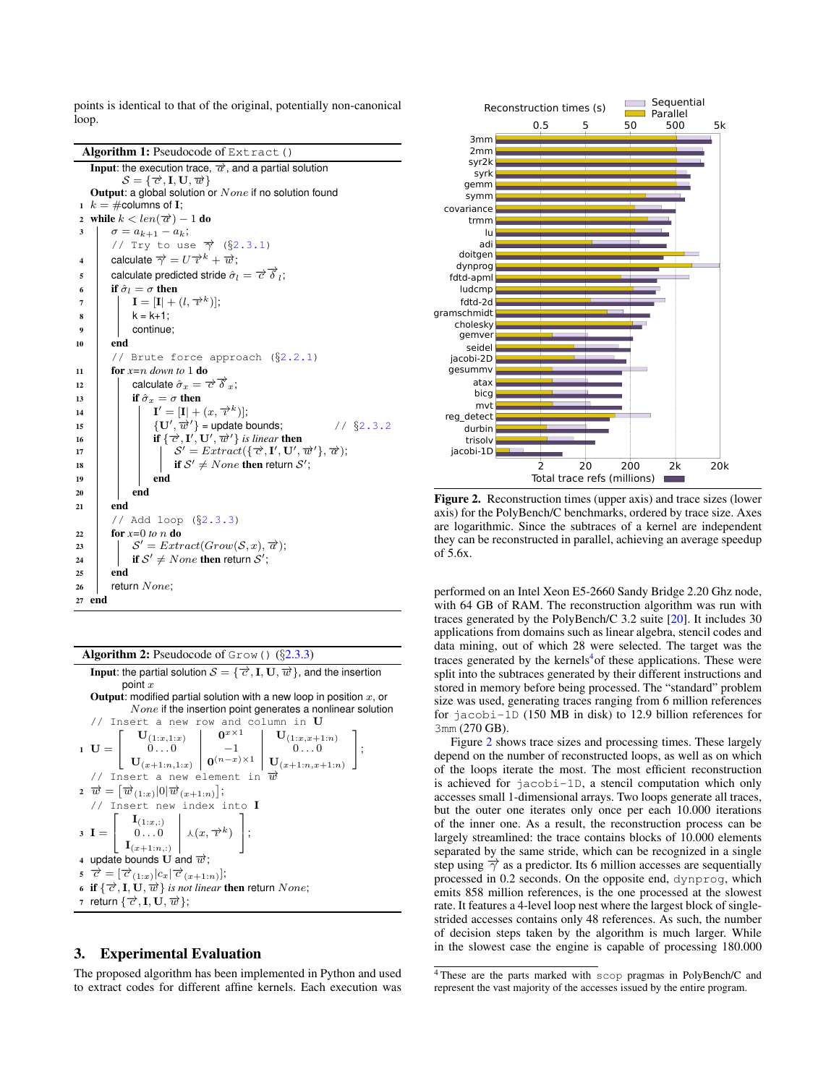points is identical to that of the original, potentially non-canonical loop.

Algorithm 1: Pseudocode of Extract() **Input:** the execution trace,  $\overrightarrow{a}$ , and a partial solution  $S = \{\vec{\sigma}, \mathbf{I}, \mathbf{U}, \vec{\omega}\}\$ Output: a global solution or  $None$  if no solution found 1  $k = \text{\#columns of I};$ 2 while  $k < len(\overrightarrow{a}) - 1$  do 3  $\sigma = a_{k+1} - a_k$ ; // Try to use  $\overrightarrow{\gamma}$  (§[2.3.1\)](#page-3-4)  $\begin{array}{ll} \texttt{4} & \quad \text{\textcolor{red}{\text{calculated}}} \ \overrightarrow{\gamma} = U \overrightarrow{v}^k + \overrightarrow{w}; \end{array}$ s calculate predicted stride  $\hat{\sigma}_l = \vec{c} \vec{\delta}_l$ ; 6 if  $\hat{\sigma}_l = \sigma$  then  $\mathbf{I} = [\mathbf{I}] + (l, \overrightarrow{v}^k)];$  $8 \mid k = k+1$ ; 9 continue; <sup>10</sup> end // Brute force approach (§[2.2.1\)](#page-2-8) <sup>11</sup> for *x=*n *down to* 1 do 12 calculate  $\hat{\sigma}_x = \vec{\sigma} \vec{\delta}_x$ ; 13 if  $\hat{\sigma}_x = \sigma$  then 14  $|\mathbf{I}' = [\mathbf{I}] + (x, \overline{x}^k)$ ; 15  $| \t{U', \overrightarrow{w}'}|$  = update bounds; // §[2.3.2](#page-3-5) 16 **if**  $\{\vec{\tau}, \vec{\mu}', \vec{\mu}'\}$  *is linear* then 17  $\vert$   $\vert$   $\vert$   $\vert$   $\vert$   $\delta$  $\mathcal{O}' = Extract(\lbrace \overrightarrow{c}, \mathbf{I}', \mathbf{U}', \overrightarrow{w}' \rbrace, \overrightarrow{\alpha});$ 18 if  $S' \neq None$  then return  $S'$ ;  $19$  end 20 **end** <sup>21</sup> end // Add loop (§[2.3.3\)](#page-4-0) <sup>22</sup> for *x=*0 *to* n do 23  $\vert S' = Extract(Grow(S, x), \overrightarrow{a});$ 24 if  $\mathcal{S}'\neq None$  then return  $\mathcal{S}'$ ;  $25$  end  $26$  return None; <sup>27</sup> end

<span id="page-5-1"></span>Algorithm 2: Pseudocode of  $G_{\text{row}}$  ()  $(\S2.3.3)$  $(\S2.3.3)$ **Input:** the partial solution  $S = \{\vec{\tau}, I, U, \vec{w}\}\$ , and the insertion point  $x$ **Output:** modified partial solution with a new loop in position  $x$ , or  $None$  if the insertion point generates a nonlinear solution // Insert a new row and column in **U**<br>  $\begin{bmatrix} \mathbf{U}_{(1:T,1:T)} & \mathbf{0}^{x \times 1} & \mathbf{U}_{(1:T-1)} \end{bmatrix}$  $1 U =$  $\sqrt{ }$  $\begin{bmatrix} 0 & \dots & 0 \\ \dots & 0 & \dots & 0 \end{bmatrix}$   $\begin{bmatrix} -1 \\ \dots & \dots & 0 \end{bmatrix}$   $\begin{bmatrix} 0 & \dots & 0 \\ \dots & \dots & 0 \end{bmatrix}$  ${\bf U}_{(1:x,1:x)\atop \hphantom{(1:x,1:x)} 0\ldots 0}$  ${\rm U}_{(1:x,x+1:n)}\atop{0\ldots 0}$  ${\bf U}_{(x+1:n,1:x)}\parallel{\bf 0}^{(n-x)\times 1}\parallel {\bf U}_{(x+1:n,x+1:n)}\parallel$ 1  $\left| \cdot \right|$ // Insert a new element in  $\overrightarrow{w}$  $\vec{w} = [\vec{w}_{(1:x)}|0|\vec{w}_{(x+1:n)}];$ // Insert new index into I  $3 I =$  $\sqrt{ }$  $\overline{1}$  $\begin{array}{c} \mathbf{I}_{(1:x,:)} \\ 0 \dots 0 \end{array}$  $\begin{array}{ccc} 0 & \ldots & 0 \\ 0 & \ldots & 0 \end{array}$   $\downarrow$   $(x, \overrightarrow{x}^k)$  $\mathbf{I}_{(x+1:n,:)}$ 1  $\vert$ 4 update bounds U and  $\vec{w}$ ;  $\vec{\sigma} = [\vec{\sigma}_{(1:x)}|c_x|\vec{\sigma}_{(x+1:n)}];$ 6 if  $\{\vec{\sigma}, I, U, \vec{w}\}$  *is not linear* then return None; 7 return  $\{\vec{\tau}, \mathbf{I}, \mathbf{U}, \vec{\mathbf{w}}\}$ ;

# <span id="page-5-2"></span><span id="page-5-0"></span>3. Experimental Evaluation

The proposed algorithm has been implemented in Python and used to extract codes for different affine kernels. Each execution was



<span id="page-5-4"></span>Figure 2. Reconstruction times (upper axis) and trace sizes (lower axis) for the PolyBench/C benchmarks, ordered by trace size. Axes are logarithmic. Since the subtraces of a kernel are independent they can be reconstructed in parallel, achieving an average speedup of 5.6x.

performed on an Intel Xeon E5-2660 Sandy Bridge 2.20 Ghz node, with 64 GB of RAM. The reconstruction algorithm was run with traces generated by the PolyBench/C 3.2 suite [\[20\]](#page-7-7). It includes 30 applications from domains such as linear algebra, stencil codes and data mining, out of which 28 were selected. The target was the traces generated by the kernels<sup>[4](#page-5-3)</sup> of these applications. These were split into the subtraces generated by their different instructions and stored in memory before being processed. The "standard" problem size was used, generating traces ranging from 6 million references for jacobi-1D (150 MB in disk) to 12.9 billion references for 3mm (270 GB).

Figure [2](#page-5-4) shows trace sizes and processing times. These largely depend on the number of reconstructed loops, as well as on which of the loops iterate the most. The most efficient reconstruction is achieved for jacobi-1D, a stencil computation which only accesses small 1-dimensional arrays. Two loops generate all traces, but the outer one iterates only once per each 10.000 iterations of the inner one. As a result, the reconstruction process can be largely streamlined: the trace contains blocks of 10.000 elements separated by the same stride, which can be recognized in a single step using  $\overrightarrow{\gamma}$  as a predictor. Its 6 million accesses are sequentially processed in 0.2 seconds. On the opposite end, dynprog, which emits 858 million references, is the one processed at the slowest rate. It features a 4-level loop nest where the largest block of singlestrided accesses contains only 48 references. As such, the number of decision steps taken by the algorithm is much larger. While in the slowest case the engine is capable of processing 180.000

<span id="page-5-3"></span><sup>4</sup> These are the parts marked with scop pragmas in PolyBench/C and represent the vast majority of the accesses issued by the entire program.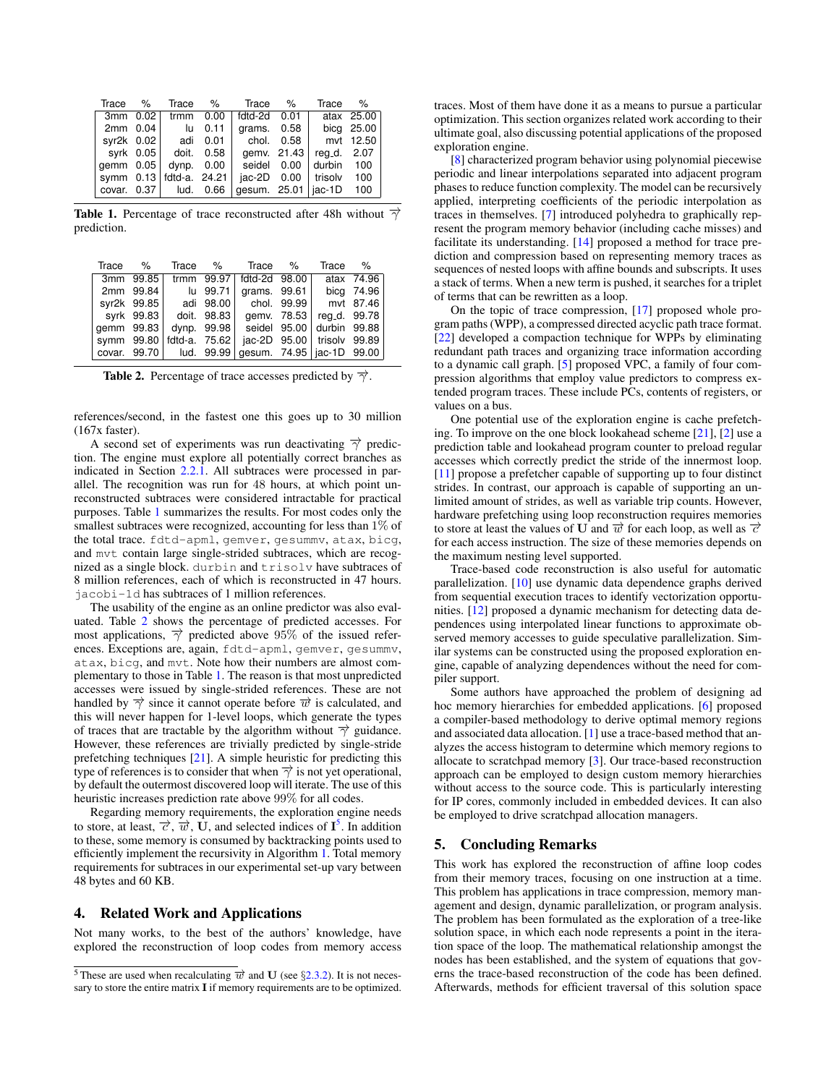| Trace %     |                           | Trace % | Trace                   | %           | Trace                   | $\%$       |
|-------------|---------------------------|---------|-------------------------|-------------|-------------------------|------------|
| 3mm 0.02    | trmm                      | 0.00    | fdtd-2d                 | 0.01        |                         | atax 25.00 |
| $2mm$ 0.04  | - lu                      | 0.11    | grams.                  | 0.58        |                         | bicg 25.00 |
| syr2k 0.02  | adi                       | 0.01    | chol.                   | 0.58        |                         | mvt 12.50  |
|             | syrk 0.05 doit. 0.58      |         |                         | gemv. 21.43 | reg_d. 2.07             |            |
| $qemm$ 0.05 | dynp.                     | 0.00    | seidel 0.00             |             | durbin                  | 100        |
|             | symm 0.13   fdtd-a. 24.21 |         |                         |             | $iac-2D$ 0.00   trisolv | 100        |
|             | covar. 0.37   lud. 0.66   |         | gesum. $25.01$   jac-1D |             |                         | 100        |

<span id="page-6-1"></span>**Table 1.** Percentage of trace reconstructed after 48h without  $\overrightarrow{\gamma}$ prediction.

| Trace %    |             |                            | Trace %     | Trace %                     |             | Trace                        | %          |
|------------|-------------|----------------------------|-------------|-----------------------------|-------------|------------------------------|------------|
|            | 3mm 99.85   |                            |             | trmm 99.97   fdtd-2d 98.00  |             |                              | atax 74.96 |
|            | 2mm 99.84   |                            | lu 99.71    | grams. $99.61$              |             |                              | bica 74.96 |
|            | syr2k 99.85 |                            | adi 98.00 l | chol. 99.99                 |             | mvt 87.46                    |            |
|            | syrk 99.83  | doit. 98.83                |             |                             | gemy. 78.53 | reg_d. 99.78                 |            |
| qemm 99.83 |             |                            | dynp. 99.98 |                             |             | seidel 95.00 durbin 99.88    |            |
|            |             | symm 99.80   fdtd-a. 75.62 |             |                             |             | jac-2D 95.00   trisolv 99.89 |            |
|            |             | covar. 99.70   lud. 99.99  |             | gesum. 74.95   jac-1D 99.00 |             |                              |            |

<span id="page-6-2"></span>**Table 2.** Percentage of trace accesses predicted by  $\overrightarrow{\gamma}$ .

references/second, in the fastest one this goes up to 30 million (167x faster).

A second set of experiments was run deactivating  $\overrightarrow{\gamma}$  prediction. The engine must explore all potentially correct branches as indicated in Section [2.2.1.](#page-2-8) All subtraces were processed in parallel. The recognition was run for 48 hours, at which point unreconstructed subtraces were considered intractable for practical purposes. Table [1](#page-6-1) summarizes the results. For most codes only the smallest subtraces were recognized, accounting for less than 1% of the total trace. fdtd-apml, gemver, gesummv, atax, bicg, and mvt contain large single-strided subtraces, which are recognized as a single block. durbin and trisolv have subtraces of 8 million references, each of which is reconstructed in 47 hours. jacobi-1d has subtraces of 1 million references.

The usability of the engine as an online predictor was also evaluated. Table [2](#page-6-2) shows the percentage of predicted accesses. For most applications,  $\overrightarrow{\gamma}$  predicted above 95% of the issued references. Exceptions are, again, fdtd-apml, gemver, gesummv, atax, bicg, and mvt. Note how their numbers are almost complementary to those in Table [1.](#page-6-1) The reason is that most unpredicted accesses were issued by single-strided references. These are not handled by  $\overrightarrow{\gamma}$  since it cannot operate before  $\overrightarrow{w}$  is calculated, and this will never happen for 1-level loops, which generate the types of traces that are tractable by the algorithm without  $\overrightarrow{\gamma}$  guidance. However, these references are trivially predicted by single-stride prefetching techniques [\[21\]](#page-7-8). A simple heuristic for predicting this type of references is to consider that when  $\overrightarrow{\gamma}$  is not yet operational, by default the outermost discovered loop will iterate. The use of this heuristic increases prediction rate above 99% for all codes.

Regarding memory requirements, the exploration engine needs to store, at least,  $\vec{\tau}$ ,  $\vec{w}$ ,  $\vec{U}$ , and selected indices of  $\vec{I}^5$  $\vec{I}^5$ . In addition to these, some memory is consumed by backtracking points used to efficiently implement the recursivity in Algorithm [1.](#page-5-1) Total memory requirements for subtraces in our experimental set-up vary between 48 bytes and 60 KB.

## <span id="page-6-0"></span>4. Related Work and Applications

Not many works, to the best of the authors' knowledge, have explored the reconstruction of loop codes from memory access

traces. Most of them have done it as a means to pursue a particular optimization. This section organizes related work according to their ultimate goal, also discussing potential applications of the proposed exploration engine.

[\[8\]](#page-7-9) characterized program behavior using polynomial piecewise periodic and linear interpolations separated into adjacent program phases to reduce function complexity. The model can be recursively applied, interpreting coefficients of the periodic interpolation as traces in themselves. [\[7\]](#page-7-10) introduced polyhedra to graphically represent the program memory behavior (including cache misses) and facilitate its understanding. [\[14\]](#page-7-11) proposed a method for trace prediction and compression based on representing memory traces as sequences of nested loops with affine bounds and subscripts. It uses a stack of terms. When a new term is pushed, it searches for a triplet of terms that can be rewritten as a loop.

On the topic of trace compression, [\[17\]](#page-7-12) proposed whole program paths (WPP), a compressed directed acyclic path trace format. [\[22\]](#page-7-13) developed a compaction technique for WPPs by eliminating redundant path traces and organizing trace information according to a dynamic call graph. [\[5\]](#page-7-14) proposed VPC, a family of four compression algorithms that employ value predictors to compress extended program traces. These include PCs, contents of registers, or values on a bus.

One potential use of the exploration engine is cache prefetching. To improve on the one block lookahead scheme [\[21\]](#page-7-8), [\[2\]](#page-7-15) use a prediction table and lookahead program counter to preload regular accesses which correctly predict the stride of the innermost loop. [\[11\]](#page-7-16) propose a prefetcher capable of supporting up to four distinct strides. In contrast, our approach is capable of supporting an unlimited amount of strides, as well as variable trip counts. However, hardware prefetching using loop reconstruction requires memories to store at least the values of U and  $\vec{w}$  for each loop, as well as  $\vec{c}$ for each access instruction. The size of these memories depends on the maximum nesting level supported.

Trace-based code reconstruction is also useful for automatic parallelization. [\[10\]](#page-7-17) use dynamic data dependence graphs derived from sequential execution traces to identify vectorization opportunities. [\[12\]](#page-7-18) proposed a dynamic mechanism for detecting data dependences using interpolated linear functions to approximate observed memory accesses to guide speculative parallelization. Similar systems can be constructed using the proposed exploration engine, capable of analyzing dependences without the need for compiler support.

Some authors have approached the problem of designing ad hoc memory hierarchies for embedded applications. [\[6\]](#page-7-19) proposed a compiler-based methodology to derive optimal memory regions and associated data allocation. [\[1\]](#page-7-20) use a trace-based method that analyzes the access histogram to determine which memory regions to allocate to scratchpad memory [\[3\]](#page-7-21). Our trace-based reconstruction approach can be employed to design custom memory hierarchies without access to the source code. This is particularly interesting for IP cores, commonly included in embedded devices. It can also be employed to drive scratchpad allocation managers.

# 5. Concluding Remarks

This work has explored the reconstruction of affine loop codes from their memory traces, focusing on one instruction at a time. This problem has applications in trace compression, memory management and design, dynamic parallelization, or program analysis. The problem has been formulated as the exploration of a tree-like solution space, in which each node represents a point in the iteration space of the loop. The mathematical relationship amongst the nodes has been established, and the system of equations that governs the trace-based reconstruction of the code has been defined. Afterwards, methods for efficient traversal of this solution space

<span id="page-6-3"></span><sup>&</sup>lt;sup>5</sup> These are used when recalculating  $\vec{w}$  and **U** (see §[2.3.2\)](#page-3-5). It is not necessary to store the entire matrix I if memory requirements are to be optimized.